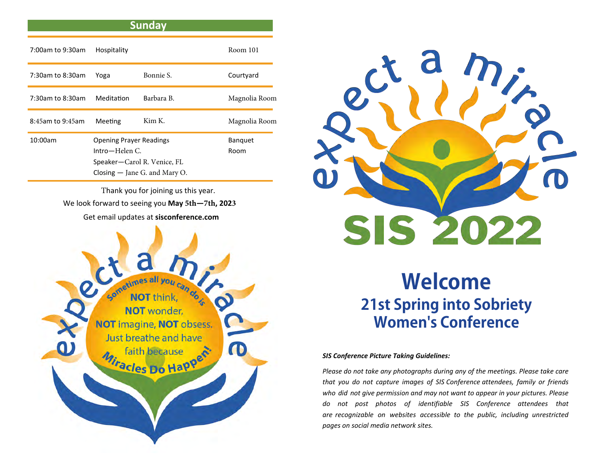## **Sunday**

| 7:00am to 9:30am | Hospitality                                                                                                          |            | Room 101               |
|------------------|----------------------------------------------------------------------------------------------------------------------|------------|------------------------|
| 7:30am to 8:30am | Yoga                                                                                                                 | Bonnie S.  | Courtyard              |
| 7:30am to 8:30am | Meditation                                                                                                           | Barbara B. | Magnolia Room          |
| 8:45am to 9:45am | Meeting                                                                                                              | Kim K.     | Magnolia Room          |
| 10:00am          | <b>Opening Prayer Readings</b><br>$Intro-Helen C.$<br>Speaker-Carol R. Venice, FL<br>Closing $-$ Jane G. and Mary O. |            | <b>Banquet</b><br>Room |

Thank you for joining us this year. We look forward to seeing you **May 5th—7th, 2023** Get email updates at **sisconference.com** 





## **Welcome 21st Spring into Sobriety Women's Conference**

## *SIS Conference Picture Taking Guidelines:*

*Please do not take any photographs during any of the meetings. Please take care that you do not capture images of SIS Conference attendees, family or friends who did not give permission and may not want to appear in your pictures. Please do not post photos of identifiable SIS Conference attendees that are recognizable on websites accessible to the public, including unrestricted pages on social media network sites.*